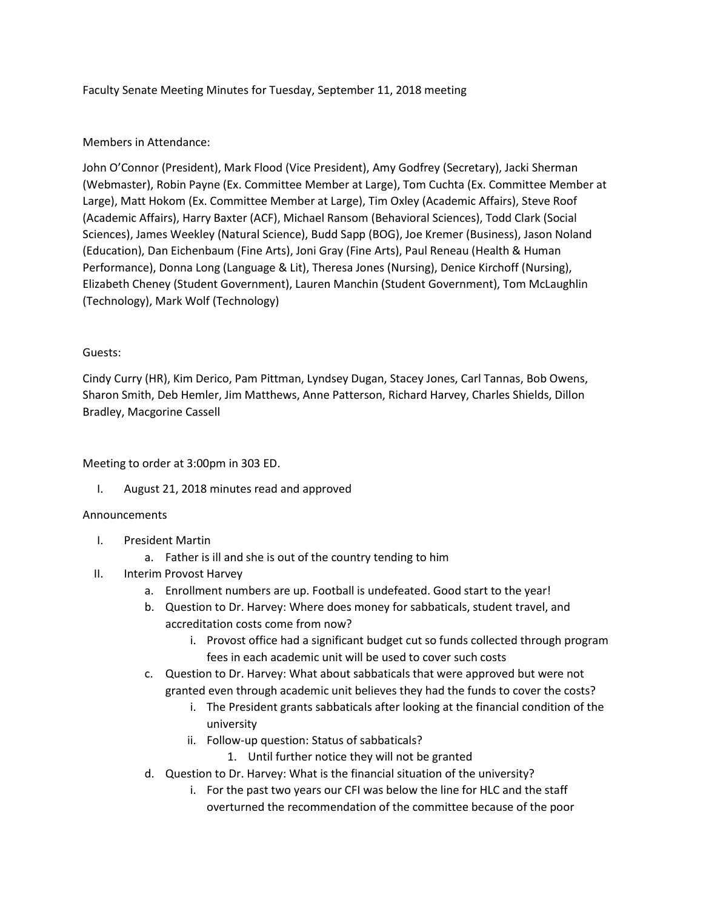## Faculty Senate Meeting Minutes for Tuesday, September 11, 2018 meeting

## Members in Attendance:

John O'Connor (President), Mark Flood (Vice President), Amy Godfrey (Secretary), Jacki Sherman (Webmaster), Robin Payne (Ex. Committee Member at Large), Tom Cuchta (Ex. Committee Member at Large), Matt Hokom (Ex. Committee Member at Large), Tim Oxley (Academic Affairs), Steve Roof (Academic Affairs), Harry Baxter (ACF), Michael Ransom (Behavioral Sciences), Todd Clark (Social Sciences), James Weekley (Natural Science), Budd Sapp (BOG), Joe Kremer (Business), Jason Noland (Education), Dan Eichenbaum (Fine Arts), Joni Gray (Fine Arts), Paul Reneau (Health & Human Performance), Donna Long (Language & Lit), Theresa Jones (Nursing), Denice Kirchoff (Nursing), Elizabeth Cheney (Student Government), Lauren Manchin (Student Government), Tom McLaughlin (Technology), Mark Wolf (Technology)

## Guests:

Cindy Curry (HR), Kim Derico, Pam Pittman, Lyndsey Dugan, Stacey Jones, Carl Tannas, Bob Owens, Sharon Smith, Deb Hemler, Jim Matthews, Anne Patterson, Richard Harvey, Charles Shields, Dillon Bradley, Macgorine Cassell

Meeting to order at 3:00pm in 303 ED.

I. August 21, 2018 minutes read and approved

#### Announcements

- I. President Martin
	- a. Father is ill and she is out of the country tending to him
- II. Interim Provost Harvey
	- a. Enrollment numbers are up. Football is undefeated. Good start to the year!
	- b. Question to Dr. Harvey: Where does money for sabbaticals, student travel, and accreditation costs come from now?
		- i. Provost office had a significant budget cut so funds collected through program fees in each academic unit will be used to cover such costs
	- c. Question to Dr. Harvey: What about sabbaticals that were approved but were not granted even through academic unit believes they had the funds to cover the costs?
		- i. The President grants sabbaticals after looking at the financial condition of the university
		- ii. Follow-up question: Status of sabbaticals?
			- 1. Until further notice they will not be granted
	- d. Question to Dr. Harvey: What is the financial situation of the university?
		- i. For the past two years our CFI was below the line for HLC and the staff overturned the recommendation of the committee because of the poor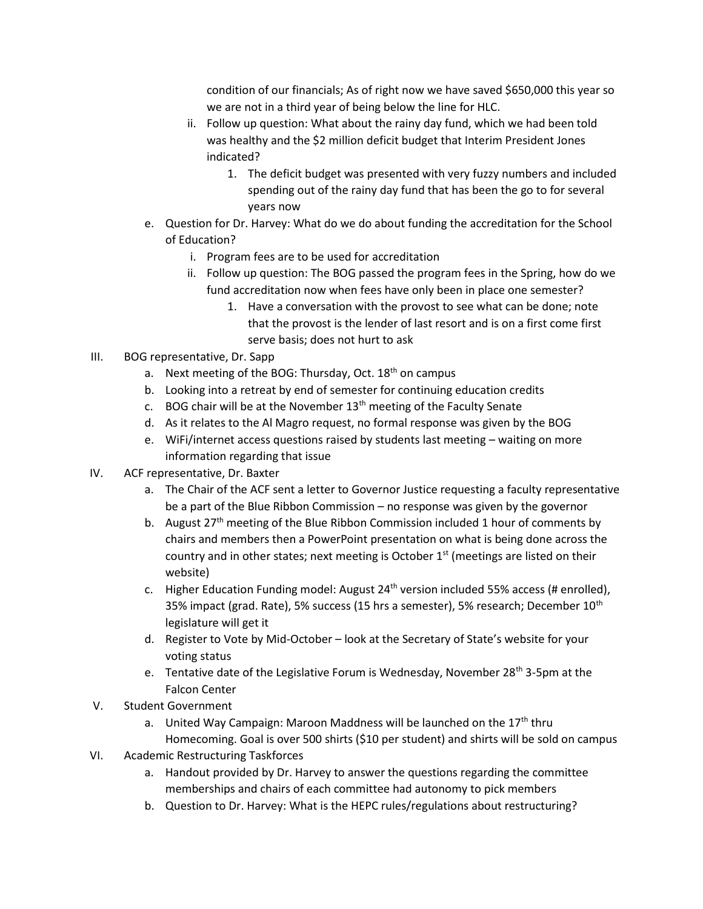condition of our financials; As of right now we have saved \$650,000 this year so we are not in a third year of being below the line for HLC.

- ii. Follow up question: What about the rainy day fund, which we had been told was healthy and the \$2 million deficit budget that Interim President Jones indicated?
	- 1. The deficit budget was presented with very fuzzy numbers and included spending out of the rainy day fund that has been the go to for several years now
- e. Question for Dr. Harvey: What do we do about funding the accreditation for the School of Education?
	- i. Program fees are to be used for accreditation
	- ii. Follow up question: The BOG passed the program fees in the Spring, how do we fund accreditation now when fees have only been in place one semester?
		- 1. Have a conversation with the provost to see what can be done; note that the provost is the lender of last resort and is on a first come first serve basis; does not hurt to ask
- III. BOG representative, Dr. Sapp
	- a. Next meeting of the BOG: Thursday, Oct.  $18<sup>th</sup>$  on campus
	- b. Looking into a retreat by end of semester for continuing education credits
	- c. BOG chair will be at the November  $13<sup>th</sup>$  meeting of the Faculty Senate
	- d. As it relates to the Al Magro request, no formal response was given by the BOG
	- e. WiFi/internet access questions raised by students last meeting waiting on more information regarding that issue
- IV. ACF representative, Dr. Baxter
	- a. The Chair of the ACF sent a letter to Governor Justice requesting a faculty representative be a part of the Blue Ribbon Commission – no response was given by the governor
	- b. August 27<sup>th</sup> meeting of the Blue Ribbon Commission included 1 hour of comments by chairs and members then a PowerPoint presentation on what is being done across the country and in other states; next meeting is October  $1<sup>st</sup>$  (meetings are listed on their website)
	- c. Higher Education Funding model: August  $24<sup>th</sup>$  version included 55% access (# enrolled), 35% impact (grad. Rate), 5% success (15 hrs a semester), 5% research; December 10<sup>th</sup> legislature will get it
	- d. Register to Vote by Mid-October look at the Secretary of State's website for your voting status
	- e. Tentative date of the Legislative Forum is Wednesday, November 28<sup>th</sup> 3-5pm at the Falcon Center
- V. Student Government
	- a. United Way Campaign: Maroon Maddness will be launched on the  $17<sup>th</sup>$  thru Homecoming. Goal is over 500 shirts (\$10 per student) and shirts will be sold on campus
- VI. Academic Restructuring Taskforces
	- a. Handout provided by Dr. Harvey to answer the questions regarding the committee memberships and chairs of each committee had autonomy to pick members
	- b. Question to Dr. Harvey: What is the HEPC rules/regulations about restructuring?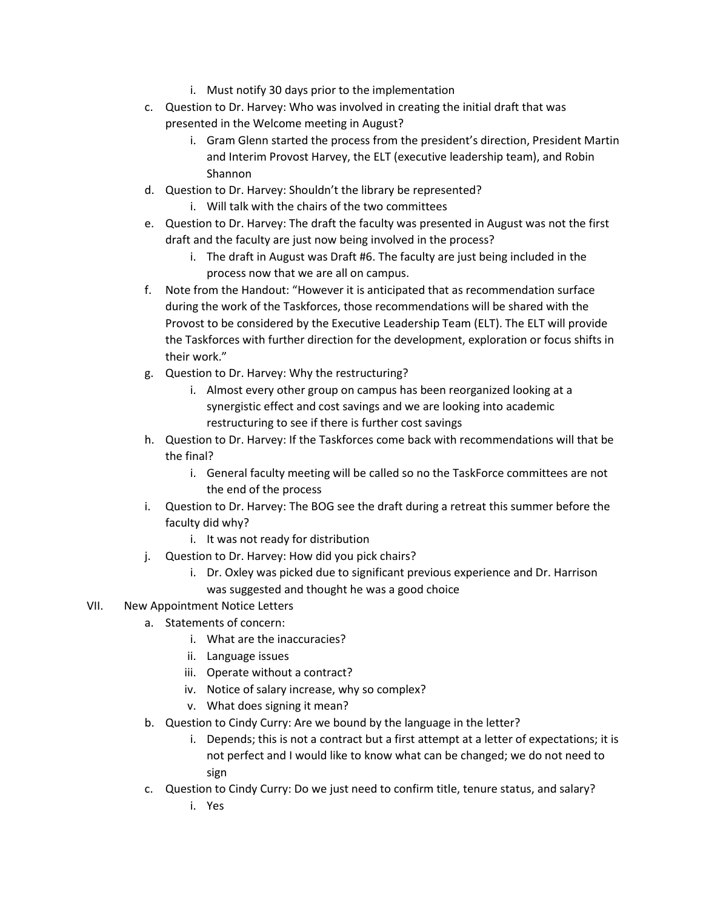- i. Must notify 30 days prior to the implementation
- c. Question to Dr. Harvey: Who was involved in creating the initial draft that was presented in the Welcome meeting in August?
	- i. Gram Glenn started the process from the president's direction, President Martin and Interim Provost Harvey, the ELT (executive leadership team), and Robin Shannon
- d. Question to Dr. Harvey: Shouldn't the library be represented? i. Will talk with the chairs of the two committees
- e. Question to Dr. Harvey: The draft the faculty was presented in August was not the first draft and the faculty are just now being involved in the process?
	- i. The draft in August was Draft #6. The faculty are just being included in the process now that we are all on campus.
- f. Note from the Handout: "However it is anticipated that as recommendation surface during the work of the Taskforces, those recommendations will be shared with the Provost to be considered by the Executive Leadership Team (ELT). The ELT will provide the Taskforces with further direction for the development, exploration or focus shifts in their work."
- g. Question to Dr. Harvey: Why the restructuring?
	- i. Almost every other group on campus has been reorganized looking at a synergistic effect and cost savings and we are looking into academic restructuring to see if there is further cost savings
- h. Question to Dr. Harvey: If the Taskforces come back with recommendations will that be the final?
	- i. General faculty meeting will be called so no the TaskForce committees are not the end of the process
- i. Question to Dr. Harvey: The BOG see the draft during a retreat this summer before the faculty did why?
	- i. It was not ready for distribution
- j. Question to Dr. Harvey: How did you pick chairs?
	- i. Dr. Oxley was picked due to significant previous experience and Dr. Harrison was suggested and thought he was a good choice
- VII. New Appointment Notice Letters
	- a. Statements of concern:
		- i. What are the inaccuracies?
		- ii. Language issues
		- iii. Operate without a contract?
		- iv. Notice of salary increase, why so complex?
		- v. What does signing it mean?
	- b. Question to Cindy Curry: Are we bound by the language in the letter?
		- i. Depends; this is not a contract but a first attempt at a letter of expectations; it is not perfect and I would like to know what can be changed; we do not need to sign
	- c. Question to Cindy Curry: Do we just need to confirm title, tenure status, and salary?
		- i. Yes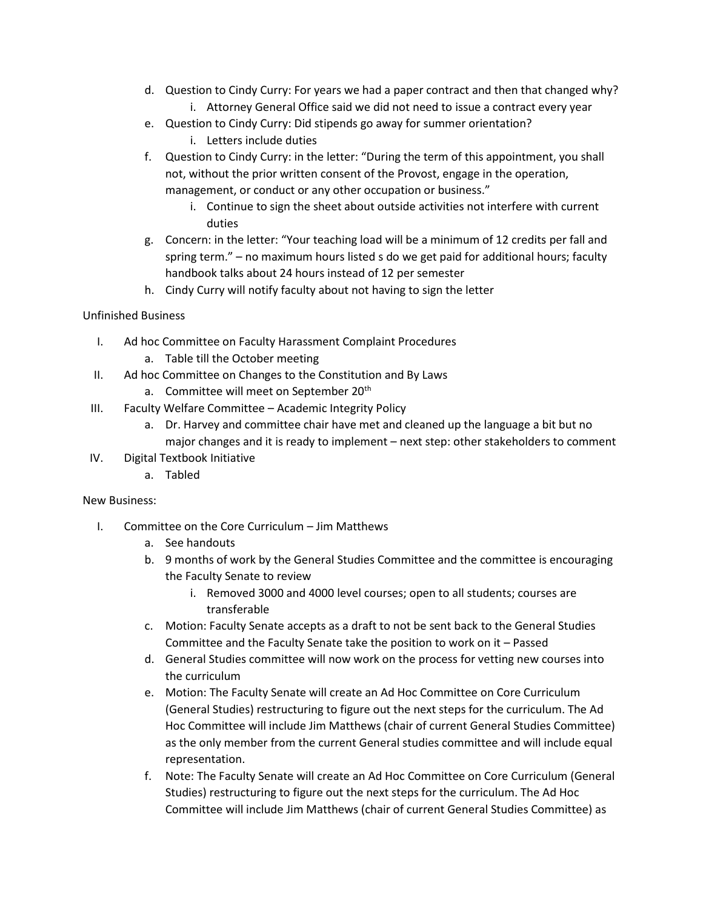- d. Question to Cindy Curry: For years we had a paper contract and then that changed why?
	- i. Attorney General Office said we did not need to issue a contract every year
- e. Question to Cindy Curry: Did stipends go away for summer orientation?
	- i. Letters include duties
- f. Question to Cindy Curry: in the letter: "During the term of this appointment, you shall not, without the prior written consent of the Provost, engage in the operation, management, or conduct or any other occupation or business."
	- i. Continue to sign the sheet about outside activities not interfere with current duties
- g. Concern: in the letter: "Your teaching load will be a minimum of 12 credits per fall and spring term." – no maximum hours listed s do we get paid for additional hours; faculty handbook talks about 24 hours instead of 12 per semester
- h. Cindy Curry will notify faculty about not having to sign the letter

# Unfinished Business

- I. Ad hoc Committee on Faculty Harassment Complaint Procedures a. Table till the October meeting
- II. Ad hoc Committee on Changes to the Constitution and By Laws
	- a. Committee will meet on September 20<sup>th</sup>
- III. Faculty Welfare Committee Academic Integrity Policy
	- a. Dr. Harvey and committee chair have met and cleaned up the language a bit but no major changes and it is ready to implement – next step: other stakeholders to comment
- IV. Digital Textbook Initiative
	- a. Tabled

# New Business:

- I. Committee on the Core Curriculum Jim Matthews
	- a. See handouts
	- b. 9 months of work by the General Studies Committee and the committee is encouraging the Faculty Senate to review
		- i. Removed 3000 and 4000 level courses; open to all students; courses are transferable
	- c. Motion: Faculty Senate accepts as a draft to not be sent back to the General Studies Committee and the Faculty Senate take the position to work on it – Passed
	- d. General Studies committee will now work on the process for vetting new courses into the curriculum
	- e. Motion: The Faculty Senate will create an Ad Hoc Committee on Core Curriculum (General Studies) restructuring to figure out the next steps for the curriculum. The Ad Hoc Committee will include Jim Matthews (chair of current General Studies Committee) as the only member from the current General studies committee and will include equal representation.
	- f. Note: The Faculty Senate will create an Ad Hoc Committee on Core Curriculum (General Studies) restructuring to figure out the next steps for the curriculum. The Ad Hoc Committee will include Jim Matthews (chair of current General Studies Committee) as